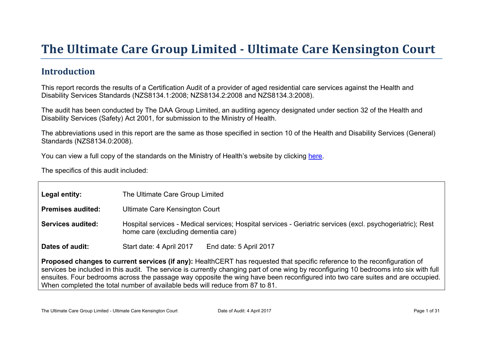# The Ultimate Car e Gr oup Limited - Ultimate Car e Kensington Court

### Introduction

This report records the results of a Certification Audit of a provider of aged residential care services against the Health and Disability Services Standards (NZS8134.1:2008; NZS8134.2:2008 and NZS8134.3:2008).

The audit has been conducted by The DAA Group Limited, an auditing agency designated under section 32 of the Health and Disability Services (Safety) Act 2001, for submission to the Ministry of Health.

The abbreviations used in this report are the same as those specified in section 10 of the Health and Disability Services (General) Standards (NZS8134.0:2008).

You can view a full copy of the standards on the Ministry of Health's website by clicking [here.](http://www.health.govt.nz/our-work/regulation-health-and-disability-system/certification-health-care-services/health-and-disability-services-standards)

The specifics of this audit included:

| Legal entity:                                                                                                                                                                                                                                                                                                                                                                                                                                                                         | The Ultimate Care Group Limited                                                                                                                   |  |  |
|---------------------------------------------------------------------------------------------------------------------------------------------------------------------------------------------------------------------------------------------------------------------------------------------------------------------------------------------------------------------------------------------------------------------------------------------------------------------------------------|---------------------------------------------------------------------------------------------------------------------------------------------------|--|--|
| Premises audited:                                                                                                                                                                                                                                                                                                                                                                                                                                                                     | <b>Ultimate Care Kensington Court</b>                                                                                                             |  |  |
| Services audited:                                                                                                                                                                                                                                                                                                                                                                                                                                                                     | Hospital services - Medical services; Hospital services - Geriatric services (excl. psychogeriatric); Rest<br>home care (excluding dementia care) |  |  |
| Dates of audit:                                                                                                                                                                                                                                                                                                                                                                                                                                                                       | Start date: 4 April 2017<br>End date: 5 April 2017                                                                                                |  |  |
| Proposed changes to current services (if any): HealthCERT has requested that specific reference to the reconfiguration of<br>services be included in this audit. The service is currently changing part of one wing by reconfiguring 10 bedrooms into six with full<br>ensuites. Four bedrooms across the passage way opposite the wing have been reconfigured into two care suites and are occupied.<br>When completed the total number of available beds will reduce from 87 to 81. |                                                                                                                                                   |  |  |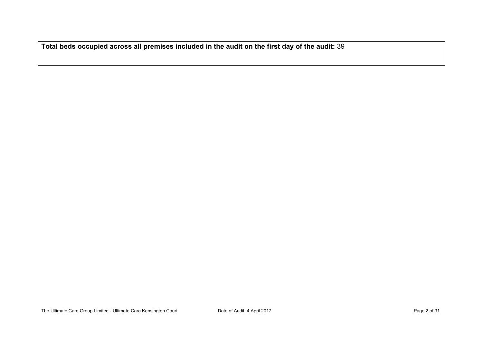**Total beds occupied across all premises included in the audit on the first day of the audit:** 39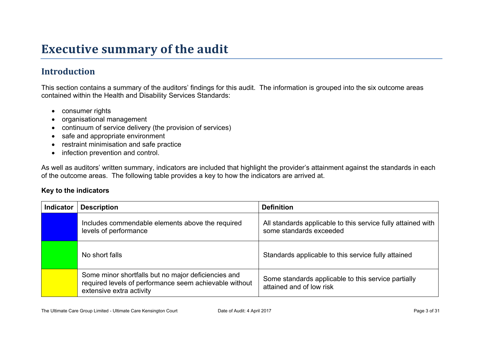# **Executive summary of the audit**

### **Introduction**

This section contains a summary of the auditors' findings for this audit. The information is grouped into the six outcome areas contained within the Health and Disability Services Standards:

- consumer rights
- organisational management
- continuum of service delivery (the provision of services)
- safe and appropriate environment
- restraint minimisation and safe practice
- infection prevention and control.

As well as auditors' written summary, indicators are included that highlight the provider's attainment against the standards in each of the outcome areas. The following table provides a key to how the indicators are arrived at.

#### **Key to the indicators**

| <b>Indicator</b> | <b>Description</b>                                                                                                                        | <b>Definition</b>                                                                       |
|------------------|-------------------------------------------------------------------------------------------------------------------------------------------|-----------------------------------------------------------------------------------------|
|                  | Includes commendable elements above the required<br>levels of performance                                                                 | All standards applicable to this service fully attained with<br>some standards exceeded |
|                  | No short falls                                                                                                                            | Standards applicable to this service fully attained                                     |
|                  | Some minor shortfalls but no major deficiencies and<br>required levels of performance seem achievable without<br>extensive extra activity | Some standards applicable to this service partially<br>attained and of low risk         |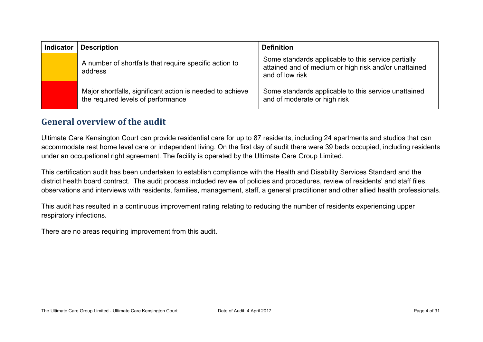| <b>Indicator</b> | <b>Description</b>                                                                              | <b>Definition</b>                                                                                                               |
|------------------|-------------------------------------------------------------------------------------------------|---------------------------------------------------------------------------------------------------------------------------------|
|                  | A number of shortfalls that require specific action to<br>address                               | Some standards applicable to this service partially<br>attained and of medium or high risk and/or unattained<br>and of low risk |
|                  | Major shortfalls, significant action is needed to achieve<br>the required levels of performance | Some standards applicable to this service unattained<br>and of moderate or high risk                                            |

#### **General overview of the audit**

Ultimate Care Kensington Court can provide residential care for up to 87 residents, including 24 apartments and studios that can accommodate rest home level care or independent living. On the first day of audit there were 39 beds occupied, including residents under an occupational right agreement. The facility is operated by the Ultimate Care Group Limited.

This certification audit has been undertaken to establish compliance with the Health and Disability Services Standard and the district health board contract. The audit process included review of policies and procedures, review of residents' and staff files, observations and interviews with residents, families, management, staff, a general practitioner and other allied health professionals.

This audit has resulted in a continuous improvement rating relating to reducing the number of residents experiencing upper respiratory infections.

There are no areas requiring improvement from this audit.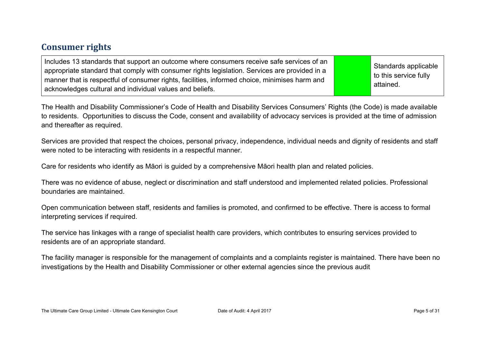### **Consumer rights**

| Includes 13 standards that support an outcome where consumers receive safe services of an<br>appropriate standard that comply with consumer rights legislation. Services are provided in a<br>manner that is respectful of consumer rights, facilities, informed choice, minimises harm and<br>acknowledges cultural and individual values and beliefs. |  | Standards applicable<br>to this service fully<br>attained. |
|---------------------------------------------------------------------------------------------------------------------------------------------------------------------------------------------------------------------------------------------------------------------------------------------------------------------------------------------------------|--|------------------------------------------------------------|
|---------------------------------------------------------------------------------------------------------------------------------------------------------------------------------------------------------------------------------------------------------------------------------------------------------------------------------------------------------|--|------------------------------------------------------------|

The Health and Disability Commissioner's Code of Health and Disability Services Consumers' Rights (the Code) is made available to residents. Opportunities to discuss the Code, consent and availability of advocacy services is provided at the time of admission and thereafter as required.

Services are provided that respect the choices, personal privacy, independence, individual needs and dignity of residents and staff were noted to be interacting with residents in a respectful manner.

Care for residents who identify as Māori is guided by a comprehensive Māori health plan and related policies.

There was no evidence of abuse, neglect or discrimination and staff understood and implemented related policies. Professional boundaries are maintained.

Open communication between staff, residents and families is promoted, and confirmed to be effective. There is access to formal interpreting services if required.

The service has linkages with a range of specialist health care providers, which contributes to ensuring services provided to residents are of an appropriate standard.

The facility manager is responsible for the management of complaints and a complaints register is maintained. There have been no investigations by the Health and Disability Commissioner or other external agencies since the previous audit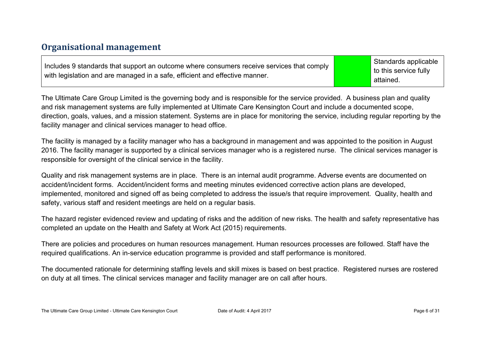### **Organisational management**

Includes 9 standards that support an outcome where consumers receive services that comply with legislation and are managed in a safe, efficient and effective manner.

Standards applicable to this service fully attained.

The Ultimate Care Group Limited is the governing body and is responsible for the service provided. A business plan and quality and risk management systems are fully implemented at Ultimate Care Kensington Court and include a documented scope, direction, goals, values, and a mission statement. Systems are in place for monitoring the service, including regular reporting by the facility manager and clinical services manager to head office.

The facility is managed by a facility manager who has a background in management and was appointed to the position in August 2016. The facility manager is supported by a clinical services manager who is a registered nurse. The clinical services manager is responsible for oversight of the clinical service in the facility.

Quality and risk management systems are in place. There is an internal audit programme. Adverse events are documented on accident/incident forms. Accident/incident forms and meeting minutes evidenced corrective action plans are developed, implemented, monitored and signed off as being completed to address the issue/s that require improvement. Quality, health and safety, various staff and resident meetings are held on a regular basis.

The hazard register evidenced review and updating of risks and the addition of new risks. The health and safety representative has completed an update on the Health and Safety at Work Act (2015) requirements.

There are policies and procedures on human resources management. Human resources processes are followed. Staff have the required qualifications. An in-service education programme is provided and staff performance is monitored.

The documented rationale for determining staffing levels and skill mixes is based on best practice. Registered nurses are rostered on duty at all times. The clinical services manager and facility manager are on call after hours.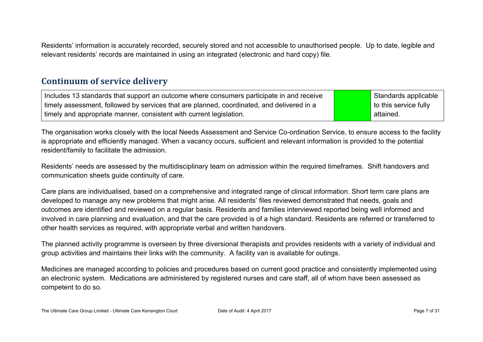Residents' information is accurately recorded, securely stored and not accessible to unauthorised people. Up to date, legible and relevant residents' records are maintained in using an integrated (electronic and hard copy) file.

#### **Continuum of service delivery**

Includes 13 standards that support an outcome where consumers participate in and receive timely assessment, followed by services that are planned, coordinated, and delivered in a timely and appropriate manner, consistent with current legislation. Standards applicable to this service fully attained.

The organisation works closely with the local Needs Assessment and Service Co-ordination Service, to ensure access to the facility is appropriate and efficiently managed. When a vacancy occurs, sufficient and relevant information is provided to the potential resident/family to facilitate the admission.

Residents' needs are assessed by the multidisciplinary team on admission within the required timeframes. Shift handovers and communication sheets guide continuity of care.

Care plans are individualised, based on a comprehensive and integrated range of clinical information. Short term care plans are developed to manage any new problems that might arise. All residents' files reviewed demonstrated that needs, goals and outcomes are identified and reviewed on a regular basis. Residents and families interviewed reported being well informed and involved in care planning and evaluation, and that the care provided is of a high standard. Residents are referred or transferred to other health services as required, with appropriate verbal and written handovers.

The planned activity programme is overseen by three diversional therapists and provides residents with a variety of individual and group activities and maintains their links with the community. A facility van is available for outings.

Medicines are managed according to policies and procedures based on current good practice and consistently implemented using an electronic system. Medications are administered by registered nurses and care staff, all of whom have been assessed as competent to do so.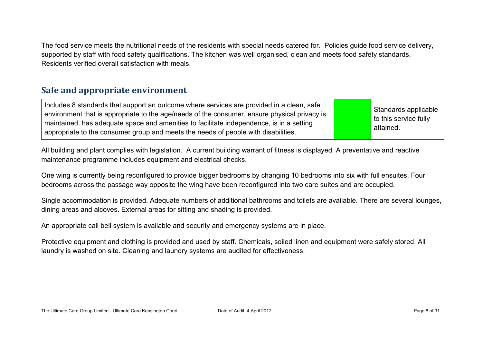The food service meets the nutritional needs of the residents with special needs catered for. Policies guide food service delivery, supported by staff with food safety qualifications. The kitchen was well organised, clean and meets food safety standards. Residents verified overall satisfaction with meals.

### **Safe and appropriate environment**

Includes 8 standards that support an outcome where services are provided in a clean, safe environment that is appropriate to the age/needs of the consumer, ensure physical privacy is maintained, has adequate space and amenities to facilitate independence, is in a setting appropriate to the consumer group and meets the needs of people with disabilities.

Standards applicable to this service fully attained.

All building and plant complies with legislation. A current building warrant of fitness is displayed. A preventative and reactive maintenance programme includes equipment and electrical checks.

One wing is currently being reconfigured to provide bigger bedrooms by changing 10 bedrooms into six with full ensuites. Four bedrooms across the passage way opposite the wing have been reconfigured into two care suites and are occupied.

Single accommodation is provided. Adequate numbers of additional bathrooms and toilets are available. There are several lounges, dining areas and alcoves. External areas for sitting and shading is provided.

An appropriate call bell system is available and security and emergency systems are in place.

Protective equipment and clothing is provided and used by staff. Chemicals, soiled linen and equipment were safely stored. All laundry is washed on site. Cleaning and laundry systems are audited for effectiveness.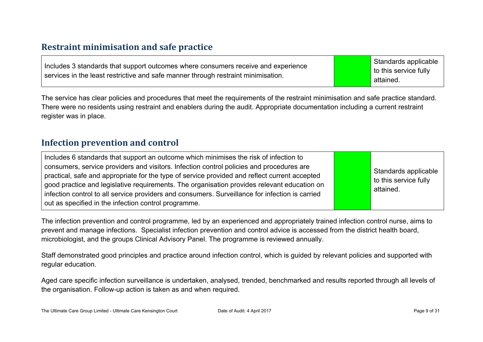### **Restraint minimisation and safe practice**

| Includes 3 standards that support outcomes where consumers receive and experience |  | Standards applicable  |
|-----------------------------------------------------------------------------------|--|-----------------------|
|                                                                                   |  | to this service fully |
| services in the least restrictive and safe manner through restraint minimisation. |  | attained.             |

The service has clear policies and procedures that meet the requirements of the restraint minimisation and safe practice standard. There were no residents using restraint and enablers during the audit. Appropriate documentation including a current restraint register was in place.

### **Infection prevention and control**

| Includes 6 standards that support an outcome which minimises the risk of infection to<br>consumers, service providers and visitors. Infection control policies and procedures are<br>practical, safe and appropriate for the type of service provided and reflect current accepted<br>good practice and legislative requirements. The organisation provides relevant education on<br>infection control to all service providers and consumers. Surveillance for infection is carried<br>out as specified in the infection control programme. |  | Standards applicable<br>to this service fully<br>attained. |
|----------------------------------------------------------------------------------------------------------------------------------------------------------------------------------------------------------------------------------------------------------------------------------------------------------------------------------------------------------------------------------------------------------------------------------------------------------------------------------------------------------------------------------------------|--|------------------------------------------------------------|
|----------------------------------------------------------------------------------------------------------------------------------------------------------------------------------------------------------------------------------------------------------------------------------------------------------------------------------------------------------------------------------------------------------------------------------------------------------------------------------------------------------------------------------------------|--|------------------------------------------------------------|

The infection prevention and control programme, led by an experienced and appropriately trained infection control nurse, aims to prevent and manage infections. Specialist infection prevention and control advice is accessed from the district health board, microbiologist, and the groups Clinical Advisory Panel. The programme is reviewed annually.

Staff demonstrated good principles and practice around infection control, which is guided by relevant policies and supported with regular education.

Aged care specific infection surveillance is undertaken, analysed, trended, benchmarked and results reported through all levels of the organisation. Follow-up action is taken as and when required.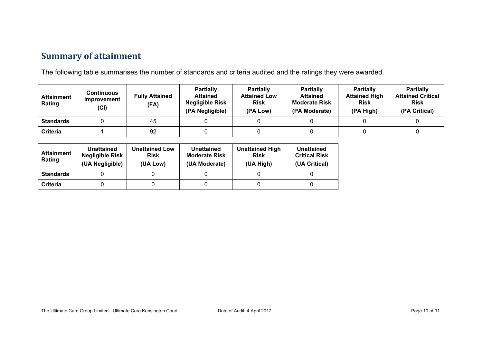### **Summary of attainment**

The following table summarises the number of standards and criteria audited and the ratings they were awarded.

| <b>Attainment</b><br>Rating | Continuous<br>Improvement<br>(CI) | <b>Fully Attained</b><br>(FA) | <b>Partially</b><br><b>Attained</b><br><b>Negligible Risk</b><br>(PA Negligible) | <b>Partially</b><br><b>Attained Low</b><br><b>Risk</b><br>(PA Low) | <b>Partially</b><br><b>Attained</b><br><b>Moderate Risk</b><br>(PA Moderate) | <b>Partially</b><br><b>Attained High</b><br><b>Risk</b><br>(PA High) | <b>Partially</b><br><b>Attained Critical</b><br><b>Risk</b><br>(PA Critical) |
|-----------------------------|-----------------------------------|-------------------------------|----------------------------------------------------------------------------------|--------------------------------------------------------------------|------------------------------------------------------------------------------|----------------------------------------------------------------------|------------------------------------------------------------------------------|
| <b>Standards</b>            |                                   | 45                            |                                                                                  |                                                                    |                                                                              |                                                                      |                                                                              |
| <b>Criteria</b>             |                                   | 92                            |                                                                                  |                                                                    |                                                                              |                                                                      |                                                                              |

| Attainment<br>Rating | Unattained<br>Negligible Risk<br>(UA Negligible) | <b>Unattained Low</b><br><b>Risk</b><br>(UA Low) | <b>Unattained</b><br><b>Moderate Risk</b><br>(UA Moderate) | <b>Unattained High</b><br><b>Risk</b><br>(UA High) | <b>Unattained</b><br><b>Critical Risk</b><br>(UA Critical) |
|----------------------|--------------------------------------------------|--------------------------------------------------|------------------------------------------------------------|----------------------------------------------------|------------------------------------------------------------|
| <b>Standards</b>     |                                                  |                                                  |                                                            |                                                    |                                                            |
| Criteria             |                                                  |                                                  |                                                            |                                                    |                                                            |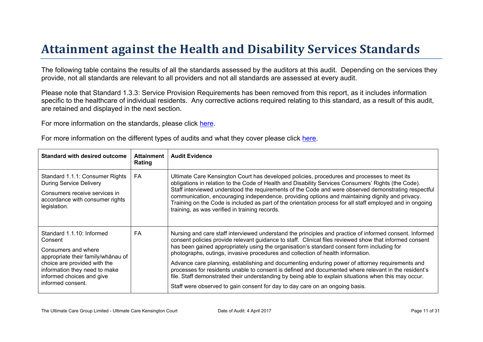# Attainment against the Health and Disability Ser vices Standar ds

The following table contains the results of all the standards assessed by the auditors at this audit. Depending on the services they provide, not all standards are relevant to all providers and not all standards are assessed at every audit.

Please note that Standard 1.3.3: Service Provision Requirements has been removed from this report, as it includes information specific to the healthcare of individual residents. Any corrective actions required relating to this standard, as a result of this audit, are retained and displayed in the next section.

For more information on the standards, please click [here](http://www.health.govt.nz/our-work/regulation-health-and-disability-system/certification-health-care-services/health-and-disability-services-standards).

|  | For more information on the different types of audits and what they cover please click here. |
|--|----------------------------------------------------------------------------------------------|
|  |                                                                                              |

| Standard with desired outcome                                                                                                                                                                                  | Attainment<br>Rating | Audit Evidence                                                                                                                                                                                                                                                                                                                                                                                                                                                                                                                                                                                                                                                                                                                                                                                          |
|----------------------------------------------------------------------------------------------------------------------------------------------------------------------------------------------------------------|----------------------|---------------------------------------------------------------------------------------------------------------------------------------------------------------------------------------------------------------------------------------------------------------------------------------------------------------------------------------------------------------------------------------------------------------------------------------------------------------------------------------------------------------------------------------------------------------------------------------------------------------------------------------------------------------------------------------------------------------------------------------------------------------------------------------------------------|
| Standard 1.1.1: Consumer Rights<br><b>During Service Delivery</b><br>Consumers receive services in<br>accordance with consumer rights<br>legislation.                                                          | FA                   | Ultimate Care Kensington Court has developed policies, procedures and processes to meet its<br>obligations in relation to the Code of Health and Disability Services Consumers' Rights (the Code).<br>Staff interviewed understood the requirements of the Code and were observed demonstrating respectful<br>communication, encouraging independence, providing options and maintaining dignity and privacy.<br>Training on the Code is included as part of the orientation process for all staff employed and in ongoing<br>training, as was verified in training records.                                                                                                                                                                                                                            |
| Standard 1.1.10: Informed<br>Consent<br>Consumers and where<br>' @ 3 B<br>appropriate their<br>choice are provided with the<br>information they need to make<br>informed choices and give<br>informed consent. | FA                   | Nursing and care staff interviewed understand the principles and practice of informed consent. Informed<br>consent policies provide relevant guidance to staff. Clinical files reviewed show that informed consent<br>has been gained appropriately using the organisation's standard consent form including for<br>photographs, outings, invasive procedures and collection of health information.<br>Advance care planning, establishing and documenting enduring power of attorney requirements and<br>processes for residents unable to consent is defined and documented where relevant in the resident's<br>file. Staff demonstrated their understanding by being able to explain situations when this may occur.<br>Staff were observed to gain consent for day to day care on an ongoing basis. |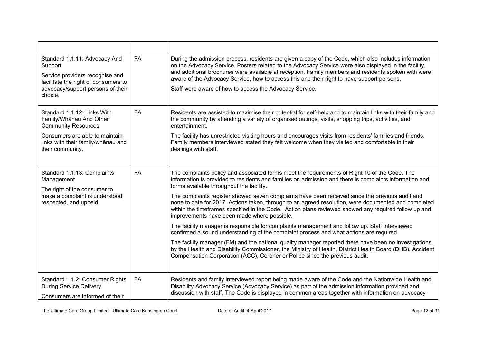| Standard 1.1.11: Advocacy And<br>Support<br>Service providers recognise and<br>facilitate the right of consumers to<br>advocacy/support persons of their<br>choice. | <b>FA</b> | During the admission process, residents are given a copy of the Code, which also includes information<br>on the Advocacy Service. Posters related to the Advocacy Service were also displayed in the facility,<br>and additional brochures were available at reception. Family members and residents spoken with were<br>aware of the Advocacy Service, how to access this and their right to have support persons.<br>Staff were aware of how to access the Advocacy Service. |
|---------------------------------------------------------------------------------------------------------------------------------------------------------------------|-----------|--------------------------------------------------------------------------------------------------------------------------------------------------------------------------------------------------------------------------------------------------------------------------------------------------------------------------------------------------------------------------------------------------------------------------------------------------------------------------------|
| Standard 1.1.12: Links With<br>Family/Whanau And Other<br><b>Community Resources</b>                                                                                | <b>FA</b> | Residents are assisted to maximise their potential for self-help and to maintain links with their family and<br>the community by attending a variety of organised outings, visits, shopping trips, activities, and<br>entertainment.                                                                                                                                                                                                                                           |
| Consumers are able to maintain<br>links with their family/whanau and<br>their community.                                                                            |           | The facility has unrestricted visiting hours and encourages visits from residents' families and friends.<br>Family members interviewed stated they felt welcome when they visited and comfortable in their<br>dealings with staff.                                                                                                                                                                                                                                             |
| Standard 1.1.13: Complaints<br>Management<br>The right of the consumer to<br>make a complaint is understood,<br>respected, and upheld.                              | FA        | The complaints policy and associated forms meet the requirements of Right 10 of the Code. The<br>information is provided to residents and families on admission and there is complaints information and<br>forms available throughout the facility.                                                                                                                                                                                                                            |
|                                                                                                                                                                     |           | The complaints register showed seven complaints have been received since the previous audit and<br>none to date for 2017. Actions taken, through to an agreed resolution, were documented and completed<br>within the timeframes specified in the Code. Action plans reviewed showed any required follow up and<br>improvements have been made where possible.                                                                                                                 |
|                                                                                                                                                                     |           | The facility manager is responsible for complaints management and follow up. Staff interviewed<br>confirmed a sound understanding of the complaint process and what actions are required.                                                                                                                                                                                                                                                                                      |
|                                                                                                                                                                     |           | The facility manager (FM) and the national quality manager reported there have been no investigations<br>by the Health and Disability Commissioner, the Ministry of Health, District Health Board (DHB), Accident<br>Compensation Corporation (ACC), Coroner or Police since the previous audit.                                                                                                                                                                               |
| Standard 1.1.2: Consumer Rights<br><b>During Service Delivery</b><br>Consumers are informed of their                                                                | FA        | Residents and family interviewed report being made aware of the Code and the Nationwide Health and<br>Disability Advocacy Service (Advocacy Service) as part of the admission information provided and<br>discussion with staff. The Code is displayed in common areas together with information on advocacy                                                                                                                                                                   |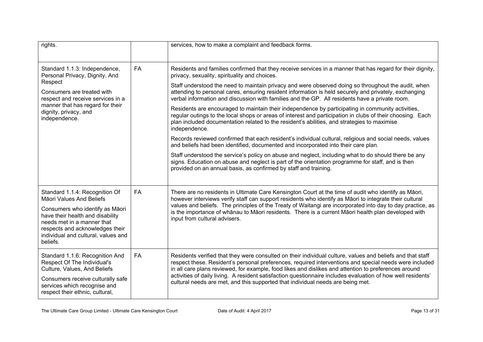| rights.                                                                                                                                                                                                                                               |           | services, how to make a complaint and feedback forms.                                                                                                                                                                                                                                                                                                                                                                                                                                                                                                                                                                                                                                                                                                                                                                                                                                                                                                                                                                                                                                                                                                                                                                                                                                              |
|-------------------------------------------------------------------------------------------------------------------------------------------------------------------------------------------------------------------------------------------------------|-----------|----------------------------------------------------------------------------------------------------------------------------------------------------------------------------------------------------------------------------------------------------------------------------------------------------------------------------------------------------------------------------------------------------------------------------------------------------------------------------------------------------------------------------------------------------------------------------------------------------------------------------------------------------------------------------------------------------------------------------------------------------------------------------------------------------------------------------------------------------------------------------------------------------------------------------------------------------------------------------------------------------------------------------------------------------------------------------------------------------------------------------------------------------------------------------------------------------------------------------------------------------------------------------------------------------|
| Standard 1.1.3: Independence,<br>Personal Privacy, Dignity, And<br>Respect<br>Consumers are treated with<br>respect and receive services in a<br>manner that has regard for their<br>dignity, privacy, and<br>independence.                           | <b>FA</b> | Residents and families confirmed that they receive services in a manner that has regard for their dignity,<br>privacy, sexuality, spirituality and choices.<br>Staff understood the need to maintain privacy and were observed doing so throughout the audit, when<br>attending to personal cares, ensuring resident information is held securely and privately, exchanging<br>verbal information and discussion with families and the GP. All residents have a private room.<br>Residents are encouraged to maintain their independence by participating in community activities,<br>regular outings to the local shops or areas of interest and participation in clubs of their choosing. Each<br>plan included documentation related to the resident's abilities, and strategies to maximise<br>independence.<br>Records reviewed confirmed that each resident's individual cultural, religious and social needs, values<br>and beliefs had been identified, documented and incorporated into their care plan.<br>Staff understood the service's policy on abuse and neglect, including what to do should there be any<br>signs. Education on abuse and neglect is part of the orientation programme for staff, and is then<br>provided on an annual basis, as confirmed by staff and training. |
| Standard 1.1.4: Recognition Of<br>Māori Values And Beliefs<br>Consumers who identify as Māori<br>have their health and disability<br>needs met in a manner that<br>respects and acknowledges their<br>individual and cultural, values and<br>beliefs. | <b>FA</b> | There are no residents in Ultimate Care Kensington Court at the time of audit who identify as Māori,<br>however interviews verify staff can support residents who identify as Māori to integrate their cultural<br>values and beliefs. The principles of the Treaty of Waitangi are incorporated into day to day practice, as<br>is the importance of whānau to Māori residents. There is a current Māori health plan developed with<br>input from cultural advisers.                                                                                                                                                                                                                                                                                                                                                                                                                                                                                                                                                                                                                                                                                                                                                                                                                              |
| Standard 1.1.6: Recognition And<br>Respect Of The Individual's<br>Culture, Values, And Beliefs<br>Consumers receive culturally safe<br>services which recognise and<br>respect their ethnic, cultural,                                                | FA        | Residents verified that they were consulted on their individual culture, values and beliefs and that staff<br>respect these. Resident's personal preferences, required interventions and special needs were included<br>in all care plans reviewed, for example, food likes and dislikes and attention to preferences around<br>activities of daily living. A resident satisfaction questionnaire includes evaluation of how well residents'<br>cultural needs are met, and this supported that individual needs are being met.                                                                                                                                                                                                                                                                                                                                                                                                                                                                                                                                                                                                                                                                                                                                                                    |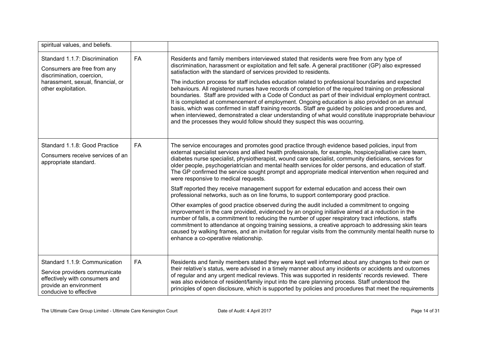| spiritual values, and beliefs.                                                                                                                         |           |                                                                                                                                                                                                                                                                                                                                                                                                                                                                                                                                                                                                                                                                                                                           |
|--------------------------------------------------------------------------------------------------------------------------------------------------------|-----------|---------------------------------------------------------------------------------------------------------------------------------------------------------------------------------------------------------------------------------------------------------------------------------------------------------------------------------------------------------------------------------------------------------------------------------------------------------------------------------------------------------------------------------------------------------------------------------------------------------------------------------------------------------------------------------------------------------------------------|
| Standard 1.1.7: Discrimination<br>Consumers are free from any<br>discrimination, coercion,<br>harassment, sexual, financial, or<br>other exploitation. | <b>FA</b> | Residents and family members interviewed stated that residents were free from any type of<br>discrimination, harassment or exploitation and felt safe. A general practitioner (GP) also expressed<br>satisfaction with the standard of services provided to residents.                                                                                                                                                                                                                                                                                                                                                                                                                                                    |
|                                                                                                                                                        |           | The induction process for staff includes education related to professional boundaries and expected<br>behaviours. All registered nurses have records of completion of the required training on professional<br>boundaries. Staff are provided with a Code of Conduct as part of their individual employment contract.<br>It is completed at commencement of employment. Ongoing education is also provided on an annual<br>basis, which was confirmed in staff training records. Staff are guided by policies and procedures and,<br>when interviewed, demonstrated a clear understanding of what would constitute inappropriate behaviour<br>and the processes they would follow should they suspect this was occurring. |
| Standard 1.1.8: Good Practice                                                                                                                          | FA        | The service encourages and promotes good practice through evidence based policies, input from<br>external specialist services and allied health professionals, for example, hospice/palliative care team,                                                                                                                                                                                                                                                                                                                                                                                                                                                                                                                 |
| Consumers receive services of an<br>appropriate standard.                                                                                              |           | diabetes nurse specialist, physiotherapist, wound care specialist, community dieticians, services for<br>older people, psychogeriatrician and mental health services for older persons, and education of staff.<br>The GP confirmed the service sought prompt and appropriate medical intervention when required and<br>were responsive to medical requests.                                                                                                                                                                                                                                                                                                                                                              |
|                                                                                                                                                        |           | Staff reported they receive management support for external education and access their own<br>professional networks, such as on line forums, to support contemporary good practice.                                                                                                                                                                                                                                                                                                                                                                                                                                                                                                                                       |
|                                                                                                                                                        |           | Other examples of good practice observed during the audit included a commitment to ongoing<br>improvement in the care provided, evidenced by an ongoing initiative aimed at a reduction in the<br>number of falls, a commitment to reducing the number of upper respiratory tract infections, staffs<br>commitment to attendance at ongoing training sessions, a creative approach to addressing skin tears<br>caused by walking frames, and an invitation for regular visits from the community mental health nurse to<br>enhance a co-operative relationship.                                                                                                                                                           |
| Standard 1.1.9: Communication                                                                                                                          | FA        | Residents and family members stated they were kept well informed about any changes to their own or<br>their relative's status, were advised in a timely manner about any incidents or accidents and outcomes                                                                                                                                                                                                                                                                                                                                                                                                                                                                                                              |
| Service providers communicate<br>effectively with consumers and<br>provide an environment<br>conducive to effective                                    |           | of regular and any urgent medical reviews. This was supported in residents' records reviewed. There<br>was also evidence of resident/family input into the care planning process. Staff understood the<br>principles of open disclosure, which is supported by policies and procedures that meet the requirements                                                                                                                                                                                                                                                                                                                                                                                                         |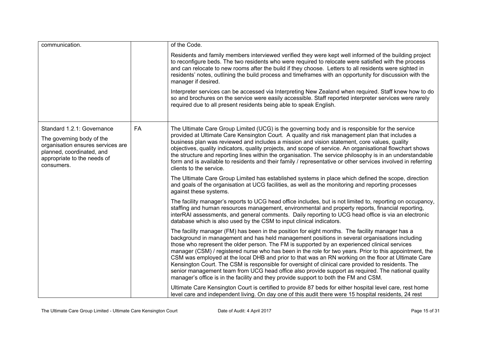| communication.                                                                                                                                                         |    | of the Code.                                                                                                                                                                                                                                                                                                                                                                                                                                                                                                                                                                                                                                                                                                                                                                                                            |
|------------------------------------------------------------------------------------------------------------------------------------------------------------------------|----|-------------------------------------------------------------------------------------------------------------------------------------------------------------------------------------------------------------------------------------------------------------------------------------------------------------------------------------------------------------------------------------------------------------------------------------------------------------------------------------------------------------------------------------------------------------------------------------------------------------------------------------------------------------------------------------------------------------------------------------------------------------------------------------------------------------------------|
|                                                                                                                                                                        |    | Residents and family members interviewed verified they were kept well informed of the building project<br>to reconfigure beds. The two residents who were required to relocate were satisfied with the process<br>and can relocate to new rooms after the build if they choose. Letters to all residents were sighted in<br>residents' notes, outlining the build process and timeframes with an opportunity for discussion with the<br>manager if desired.<br>Interpreter services can be accessed via Interpreting New Zealand when required. Staff knew how to do<br>so and brochures on the service were easily accessible. Staff reported interpreter services were rarely<br>required due to all present residents being able to speak English.                                                                   |
|                                                                                                                                                                        |    |                                                                                                                                                                                                                                                                                                                                                                                                                                                                                                                                                                                                                                                                                                                                                                                                                         |
| Standard 1.2.1: Governance<br>The governing body of the<br>organisation ensures services are<br>planned, coordinated, and<br>appropriate to the needs of<br>consumers. | FA | The Ultimate Care Group Limited (UCG) is the governing body and is responsible for the service<br>provided at Ultimate Care Kensington Court. A quality and risk management plan that includes a<br>business plan was reviewed and includes a mission and vision statement, core values, quality<br>objectives, quality indicators, quality projects, and scope of service. An organisational flowchart shows<br>the structure and reporting lines within the organisation. The service philosophy is in an understandable<br>form and is available to residents and their family / representative or other services involved in referring<br>clients to the service.                                                                                                                                                   |
|                                                                                                                                                                        |    | The Ultimate Care Group Limited has established systems in place which defined the scope, direction<br>and goals of the organisation at UCG facilities, as well as the monitoring and reporting processes<br>against these systems.                                                                                                                                                                                                                                                                                                                                                                                                                                                                                                                                                                                     |
|                                                                                                                                                                        |    | The facility manager's reports to UCG head office includes, but is not limited to, reporting on occupancy,<br>staffing and human resources management, environmental and property reports, financial reporting,<br>interRAI assessments, and general comments. Daily reporting to UCG head office is via an electronic<br>database which is also used by the CSM to input clinical indicators.                                                                                                                                                                                                                                                                                                                                                                                                                          |
|                                                                                                                                                                        |    | The facility manager (FM) has been in the position for eight months. The facility manager has a<br>background in management and has held management positions in several organisations including<br>those who represent the older person. The FM is supported by an experienced clinical services<br>manager (CSM) / registered nurse who has been in the role for two years. Prior to this appointment, the<br>CSM was employed at the local DHB and prior to that was an RN working on the floor at Ultimate Care<br>Kensington Court. The CSM is responsible for oversight of clinical care provided to residents. The<br>senior management team from UCG head office also provide support as required. The national quality<br>manager's office is in the facility and they provide support to both the FM and CSM. |
|                                                                                                                                                                        |    | Ultimate Care Kensington Court is certified to provide 87 beds for either hospital level care, rest home<br>level care and independent living. On day one of this audit there were 15 hospital residents, 24 rest                                                                                                                                                                                                                                                                                                                                                                                                                                                                                                                                                                                                       |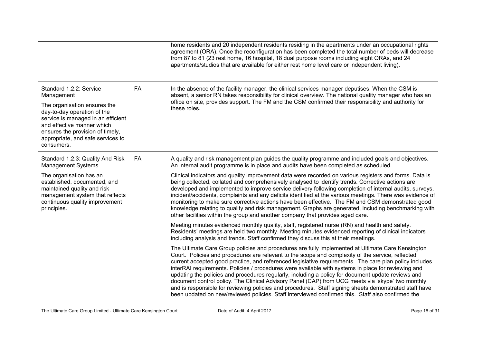|                                                                                                                                                                                                                                                                 |           | home residents and 20 independent residents residing in the apartments under an occupational rights<br>agreement (ORA). Once the reconfiguration has been completed the total number of beds will decrease<br>from 87 to 81 (23 rest home, 16 hospital, 18 dual purpose rooms including eight ORAs, and 24<br>apartments/studios that are available for either rest home level care or independent living).                                                                                                                                                                                                                                                                                                                                                                                                                                       |
|-----------------------------------------------------------------------------------------------------------------------------------------------------------------------------------------------------------------------------------------------------------------|-----------|---------------------------------------------------------------------------------------------------------------------------------------------------------------------------------------------------------------------------------------------------------------------------------------------------------------------------------------------------------------------------------------------------------------------------------------------------------------------------------------------------------------------------------------------------------------------------------------------------------------------------------------------------------------------------------------------------------------------------------------------------------------------------------------------------------------------------------------------------|
| Standard 1.2.2: Service<br>Management<br>The organisation ensures the<br>day-to-day operation of the<br>service is managed in an efficient<br>and effective manner which<br>ensures the provision of timely,<br>appropriate, and safe services to<br>consumers. | <b>FA</b> | In the absence of the facility manager, the clinical services manager deputises. When the CSM is<br>absent, a senior RN takes responsibility for clinical overview. The national quality manager who has an<br>office on site, provides support. The FM and the CSM confirmed their responsibility and authority for<br>these roles.                                                                                                                                                                                                                                                                                                                                                                                                                                                                                                              |
| Standard 1.2.3: Quality And Risk<br><b>Management Systems</b>                                                                                                                                                                                                   | FA        | A quality and risk management plan guides the quality programme and included goals and objectives.<br>An internal audit programme is in place and audits have been completed as scheduled.                                                                                                                                                                                                                                                                                                                                                                                                                                                                                                                                                                                                                                                        |
| The organisation has an<br>established, documented, and<br>maintained quality and risk<br>management system that reflects<br>continuous quality improvement<br>principles.                                                                                      |           | Clinical indicators and quality improvement data were recorded on various registers and forms. Data is<br>being collected, collated and comprehensively analysed to identify trends. Corrective actions are<br>developed and implemented to improve service delivery following completion of internal audits, surveys,<br>incident/accidents, complaints and any deficits identified at the various meetings. There was evidence of<br>monitoring to make sure corrective actions have been effective. The FM and CSM demonstrated good<br>knowledge relating to quality and risk management. Graphs are generated, including benchmarking with<br>other facilities within the group and another company that provides aged care.                                                                                                                 |
|                                                                                                                                                                                                                                                                 |           | Meeting minutes evidenced monthly quality, staff, registered nurse (RN) and health and safety.<br>Residents' meetings are held two monthly. Meeting minutes evidenced reporting of clinical indicators<br>including analysis and trends. Staff confirmed they discuss this at their meetings.                                                                                                                                                                                                                                                                                                                                                                                                                                                                                                                                                     |
|                                                                                                                                                                                                                                                                 |           | The Ultimate Care Group policies and procedures are fully implemented at Ultimate Care Kensington<br>Court. Policies and procedures are relevant to the scope and complexity of the service, reflected<br>current accepted good practice, and referenced legislative requirements. The care plan policy includes<br>interRAI requirements. Policies / procedures were available with systems in place for reviewing and<br>updating the policies and procedures regularly, including a policy for document update reviews and<br>document control policy. The Clinical Advisory Panel (CAP) from UCG meets via 'skype' two monthly<br>and is responsible for reviewing policies and procedures. Staff signing sheets demonstrated staff have<br>been updated on new/reviewed policies. Staff interviewed confirmed this. Staff also confirmed the |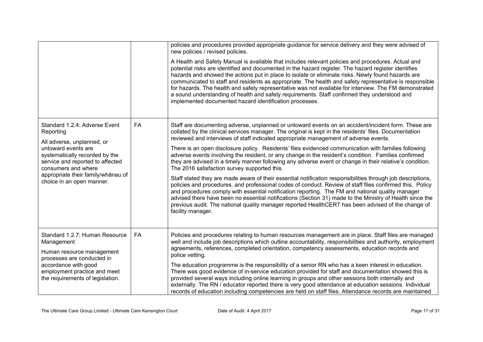|                                                                                                                                                                                                                                                                 |           | policies and procedures provided appropriate guidance for service delivery and they were advised of<br>new policies / revised policies.<br>A Health and Safety Manual is available that includes relevant policies and procedures. Actual and<br>potential risks are identified and documented in the hazard register. The hazard register identifies<br>hazards and showed the actions put in place to isolate or eliminate risks. Newly found hazards are<br>communicated to staff and residents as appropriate. The health and safety representative is responsible<br>for hazards. The health and safety representative was not available for interview. The FM demonstrated<br>a sound understanding of health and safety requirements. Staff confirmed they understood and<br>implemented documented hazard identification processes.                                                                                                                                                                                                                                                                                                                                                                                                             |
|-----------------------------------------------------------------------------------------------------------------------------------------------------------------------------------------------------------------------------------------------------------------|-----------|---------------------------------------------------------------------------------------------------------------------------------------------------------------------------------------------------------------------------------------------------------------------------------------------------------------------------------------------------------------------------------------------------------------------------------------------------------------------------------------------------------------------------------------------------------------------------------------------------------------------------------------------------------------------------------------------------------------------------------------------------------------------------------------------------------------------------------------------------------------------------------------------------------------------------------------------------------------------------------------------------------------------------------------------------------------------------------------------------------------------------------------------------------------------------------------------------------------------------------------------------------|
| Standard 1.2.4: Adverse Event<br>Reporting<br>All adverse, unplanned, or<br>untoward events are<br>systematically recorded by the<br>service and reported to affected<br>consumers and where<br>appropriate their family/whānau of<br>choice in an open manner. | <b>FA</b> | Staff are documenting adverse, unplanned or untoward events on an accident/incident form. These are<br>collated by the clinical services manager. The original is kept in the residents' files. Documentation<br>reviewed and interviews of staff indicated appropriate management of adverse events.<br>There is an open disclosure policy. Residents' files evidenced communication with families following<br>adverse events involving the resident, or any change in the resident's condition. Families confirmed<br>they are advised in a timely manner following any adverse event or change in their relative's condition.<br>The 2016 satisfaction survey supported this.<br>Staff stated they are made aware of their essential notification responsibilities through job descriptions,<br>policies and procedures, and professional codes of conduct. Review of staff files confirmed this. Policy<br>and procedures comply with essential notification reporting. The FM and national quality manager<br>advised there have been no essential notifications (Section 31) made to the Ministry of Health since the<br>previous audit. The national quality manager reported HealthCERT has been advised of the change of<br>facility manager. |
| Standard 1.2.7: Human Resource<br>Management<br>Human resource management<br>processes are conducted in<br>accordance with good<br>employment practice and meet<br>the requirements of legislation.                                                             | FA        | Policies and procedures relating to human resources management are in place. Staff files are managed<br>well and include job descriptions which outline accountability, responsibilities and authority, employment<br>agreements, references, completed orientation, competency assessments, education records and<br>police vetting.<br>The education programme is the responsibility of a senior RN who has a keen interest in education.<br>There was good evidence of in-service education provided for staff and documentation showed this is<br>provided several ways including online learning in groups and other sessions both internally and<br>externally. The RN / educator reported there is very good attendance at education sessions. Individual<br>records of education including competencies are held on staff files. Attendance records are maintained                                                                                                                                                                                                                                                                                                                                                                              |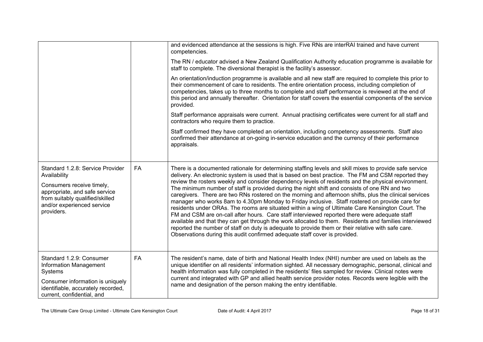|                                                                                                                                                                                               |    | and evidenced attendance at the sessions is high. Five RNs are interRAI trained and have current<br>competencies.                                                                                                                                                                                                                                                                                                                                                                                                                                                                                                                                                                                                                                                                                                                                                                                                                                                                                                                                                                                                                      |
|-----------------------------------------------------------------------------------------------------------------------------------------------------------------------------------------------|----|----------------------------------------------------------------------------------------------------------------------------------------------------------------------------------------------------------------------------------------------------------------------------------------------------------------------------------------------------------------------------------------------------------------------------------------------------------------------------------------------------------------------------------------------------------------------------------------------------------------------------------------------------------------------------------------------------------------------------------------------------------------------------------------------------------------------------------------------------------------------------------------------------------------------------------------------------------------------------------------------------------------------------------------------------------------------------------------------------------------------------------------|
|                                                                                                                                                                                               |    | The RN / educator advised a New Zealand Qualification Authority education programme is available for<br>staff to complete. The diversional therapist is the facility's assessor.                                                                                                                                                                                                                                                                                                                                                                                                                                                                                                                                                                                                                                                                                                                                                                                                                                                                                                                                                       |
|                                                                                                                                                                                               |    | An orientation/induction programme is available and all new staff are required to complete this prior to<br>their commencement of care to residents. The entire orientation process, including completion of<br>competencies, takes up to three months to complete and staff performance is reviewed at the end of<br>this period and annually thereafter. Orientation for staff covers the essential components of the service<br>provided.                                                                                                                                                                                                                                                                                                                                                                                                                                                                                                                                                                                                                                                                                           |
|                                                                                                                                                                                               |    | Staff performance appraisals were current. Annual practising certificates were current for all staff and<br>contractors who require them to practice.                                                                                                                                                                                                                                                                                                                                                                                                                                                                                                                                                                                                                                                                                                                                                                                                                                                                                                                                                                                  |
|                                                                                                                                                                                               |    | Staff confirmed they have completed an orientation, including competency assessments. Staff also<br>confirmed their attendance at on-going in-service education and the currency of their performance<br>appraisals.                                                                                                                                                                                                                                                                                                                                                                                                                                                                                                                                                                                                                                                                                                                                                                                                                                                                                                                   |
| Standard 1.2.8: Service Provider<br>Availability<br>Consumers receive timely,<br>appropriate, and safe service<br>from suitably qualified/skilled<br>and/or experienced service<br>providers. | FA | There is a documented rationale for determining staffing levels and skill mixes to provide safe service<br>delivery. An electronic system is used that is based on best practice. The FM and CSM reported they<br>review the rosters weekly and consider dependency levels of residents and the physical environment.<br>The minimum number of staff is provided during the night shift and consists of one RN and two<br>caregivers. There are two RNs rostered on the morning and afternoon shifts, plus the clinical services<br>manager who works 8am to 4.30pm Monday to Friday inclusive. Staff rostered on provide care for<br>residents under ORAs. The rooms are situated within a wing of Ultimate Care Kensington Court. The<br>FM and CSM are on-call after hours. Care staff interviewed reported there were adequate staff<br>available and that they can get through the work allocated to them. Residents and families interviewed<br>reported the number of staff on duty is adequate to provide them or their relative with safe care.<br>Observations during this audit confirmed adequate staff cover is provided. |
| Standard 1.2.9: Consumer<br>Information Management<br>Systems<br>Consumer information is uniquely<br>identifiable, accurately recorded,<br>current, confidential, and                         | FA | The resident's name, date of birth and National Health Index (NHI) number are used on labels as the<br>unique identifier on all residents' information sighted. All necessary demographic, personal, clinical and<br>health information was fully completed in the residents' files sampled for review. Clinical notes were<br>current and integrated with GP and allied health service provider notes. Records were legible with the<br>name and designation of the person making the entry identifiable.                                                                                                                                                                                                                                                                                                                                                                                                                                                                                                                                                                                                                             |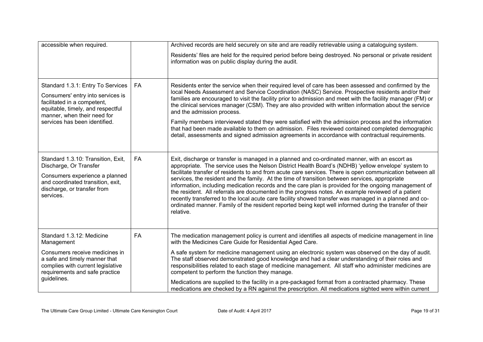| accessible when required.                                                                                                                                                                                  |           | Archived records are held securely on site and are readily retrievable using a cataloguing system.                                                                                                                                                                                                                                                                                                                                                                                                                                                                                                                                                                                                                                                                                                                                                                    |
|------------------------------------------------------------------------------------------------------------------------------------------------------------------------------------------------------------|-----------|-----------------------------------------------------------------------------------------------------------------------------------------------------------------------------------------------------------------------------------------------------------------------------------------------------------------------------------------------------------------------------------------------------------------------------------------------------------------------------------------------------------------------------------------------------------------------------------------------------------------------------------------------------------------------------------------------------------------------------------------------------------------------------------------------------------------------------------------------------------------------|
|                                                                                                                                                                                                            |           | Residents' files are held for the required period before being destroyed. No personal or private resident<br>information was on public display during the audit.                                                                                                                                                                                                                                                                                                                                                                                                                                                                                                                                                                                                                                                                                                      |
| Standard 1.3.1: Entry To Services<br>Consumers' entry into services is<br>facilitated in a competent,<br>equitable, timely, and respectful<br>manner, when their need for<br>services has been identified. | FA        | Residents enter the service when their required level of care has been assessed and confirmed by the<br>local Needs Assessment and Service Coordination (NASC) Service. Prospective residents and/or their<br>families are encouraged to visit the facility prior to admission and meet with the facility manager (FM) or<br>the clinical services manager (CSM). They are also provided with written information about the service<br>and the admission process.<br>Family members interviewed stated they were satisfied with the admission process and the information<br>that had been made available to them on admission. Files reviewed contained completed demographic<br>detail, assessments and signed admission agreements in accordance with contractual requirements.                                                                                    |
| Standard 1.3.10: Transition, Exit,<br>Discharge, Or Transfer<br>Consumers experience a planned<br>and coordinated transition, exit,<br>discharge, or transfer from<br>services.                            | <b>FA</b> | Exit, discharge or transfer is managed in a planned and co-ordinated manner, with an escort as<br>appropriate. The service uses the Nelson District Health Board's (NDHB) 'yellow envelope' system to<br>facilitate transfer of residents to and from acute care services. There is open communication between all<br>services, the resident and the family. At the time of transition between services, appropriate<br>information, including medication records and the care plan is provided for the ongoing management of<br>the resident. All referrals are documented in the progress notes. An example reviewed of a patient<br>recently transferred to the local acute care facility showed transfer was managed in a planned and co-<br>ordinated manner. Family of the resident reported being kept well informed during the transfer of their<br>relative. |
| Standard 1.3.12: Medicine<br>Management                                                                                                                                                                    | FA        | The medication management policy is current and identifies all aspects of medicine management in line<br>with the Medicines Care Guide for Residential Aged Care.                                                                                                                                                                                                                                                                                                                                                                                                                                                                                                                                                                                                                                                                                                     |
| Consumers receive medicines in<br>a safe and timely manner that<br>complies with current legislative<br>requirements and safe practice                                                                     |           | A safe system for medicine management using an electronic system was observed on the day of audit.<br>The staff observed demonstrated good knowledge and had a clear understanding of their roles and<br>responsibilities related to each stage of medicine management. All staff who administer medicines are<br>competent to perform the function they manage.                                                                                                                                                                                                                                                                                                                                                                                                                                                                                                      |
| guidelines.                                                                                                                                                                                                |           | Medications are supplied to the facility in a pre-packaged format from a contracted pharmacy. These<br>medications are checked by a RN against the prescription. All medications sighted were within current                                                                                                                                                                                                                                                                                                                                                                                                                                                                                                                                                                                                                                                          |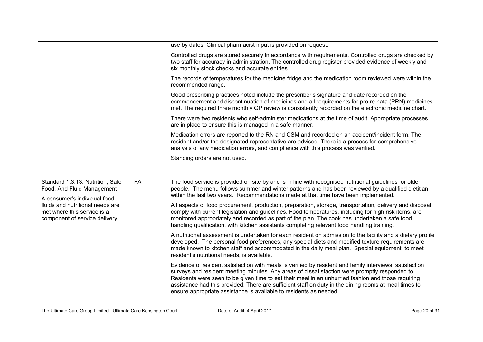|                                                                                                                                                                                                      |    | use by dates. Clinical pharmacist input is provided on request.                                                                                                                                                                                                                                                                                                                                                                                                                                 |
|------------------------------------------------------------------------------------------------------------------------------------------------------------------------------------------------------|----|-------------------------------------------------------------------------------------------------------------------------------------------------------------------------------------------------------------------------------------------------------------------------------------------------------------------------------------------------------------------------------------------------------------------------------------------------------------------------------------------------|
|                                                                                                                                                                                                      |    | Controlled drugs are stored securely in accordance with requirements. Controlled drugs are checked by<br>two staff for accuracy in administration. The controlled drug register provided evidence of weekly and<br>six monthly stock checks and accurate entries.                                                                                                                                                                                                                               |
|                                                                                                                                                                                                      |    | The records of temperatures for the medicine fridge and the medication room reviewed were within the<br>recommended range.                                                                                                                                                                                                                                                                                                                                                                      |
|                                                                                                                                                                                                      |    | Good prescribing practices noted include the prescriber's signature and date recorded on the<br>commencement and discontinuation of medicines and all requirements for pro re nata (PRN) medicines<br>met. The required three monthly GP review is consistently recorded on the electronic medicine chart.                                                                                                                                                                                      |
|                                                                                                                                                                                                      |    | There were two residents who self-administer medications at the time of audit. Appropriate processes<br>are in place to ensure this is managed in a safe manner.                                                                                                                                                                                                                                                                                                                                |
|                                                                                                                                                                                                      |    | Medication errors are reported to the RN and CSM and recorded on an accident/incident form. The<br>resident and/or the designated representative are advised. There is a process for comprehensive<br>analysis of any medication errors, and compliance with this process was verified.                                                                                                                                                                                                         |
|                                                                                                                                                                                                      |    | Standing orders are not used.                                                                                                                                                                                                                                                                                                                                                                                                                                                                   |
|                                                                                                                                                                                                      |    |                                                                                                                                                                                                                                                                                                                                                                                                                                                                                                 |
| Standard 1.3.13: Nutrition, Safe<br>Food, And Fluid Management<br>A consumer's individual food,<br>fluids and nutritional needs are<br>met where this service is a<br>component of service delivery. | FA | The food service is provided on site by and is in line with recognised nutritional guidelines for older<br>people. The menu follows summer and winter patterns and has been reviewed by a qualified dietitian<br>within the last two years. Recommendations made at that time have been implemented.                                                                                                                                                                                            |
|                                                                                                                                                                                                      |    | All aspects of food procurement, production, preparation, storage, transportation, delivery and disposal<br>comply with current legislation and guidelines. Food temperatures, including for high risk items, are<br>monitored appropriately and recorded as part of the plan. The cook has undertaken a safe food<br>handling qualification, with kitchen assistants completing relevant food handling training.                                                                               |
|                                                                                                                                                                                                      |    | A nutritional assessment is undertaken for each resident on admission to the facility and a dietary profile<br>developed. The personal food preferences, any special diets and modified texture requirements are<br>made known to kitchen staff and accommodated in the daily meal plan. Special equipment, to meet<br>resident's nutritional needs, is available.                                                                                                                              |
|                                                                                                                                                                                                      |    | Evidence of resident satisfaction with meals is verified by resident and family interviews, satisfaction<br>surveys and resident meeting minutes. Any areas of dissatisfaction were promptly responded to.<br>Residents were seen to be given time to eat their meal in an unhurried fashion and those requiring<br>assistance had this provided. There are sufficient staff on duty in the dining rooms at meal times to<br>ensure appropriate assistance is available to residents as needed. |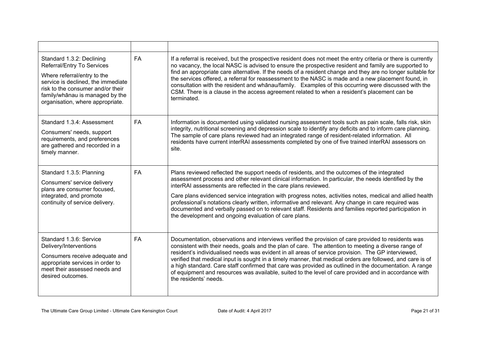| Standard 1.3.2: Declining<br>Referral/Entry To Services<br>Where referral/entry to the<br>service is declined, the immediate<br>risk to the consumer and/or their<br>family/whanau is managed by the<br>organisation, where appropriate. | <b>FA</b> | If a referral is received, but the prospective resident does not meet the entry criteria or there is currently<br>no vacancy, the local NASC is advised to ensure the prospective resident and family are supported to<br>find an appropriate care alternative. If the needs of a resident change and they are no longer suitable for<br>the services offered, a referral for reassessment to the NASC is made and a new placement found, in<br>consultation with the resident and whānau/family. Examples of this occurring were discussed with the<br>CSM. There is a clause in the access agreement related to when a resident's placement can be<br>terminated.         |
|------------------------------------------------------------------------------------------------------------------------------------------------------------------------------------------------------------------------------------------|-----------|-----------------------------------------------------------------------------------------------------------------------------------------------------------------------------------------------------------------------------------------------------------------------------------------------------------------------------------------------------------------------------------------------------------------------------------------------------------------------------------------------------------------------------------------------------------------------------------------------------------------------------------------------------------------------------|
| Standard 1.3.4: Assessment<br>Consumers' needs, support<br>requirements, and preferences<br>are gathered and recorded in a<br>timely manner.                                                                                             | <b>FA</b> | Information is documented using validated nursing assessment tools such as pain scale, falls risk, skin<br>integrity, nutritional screening and depression scale to identify any deficits and to inform care planning.<br>The sample of care plans reviewed had an integrated range of resident-related information. All<br>residents have current interRAI assessments completed by one of five trained interRAI assessors on<br>site.                                                                                                                                                                                                                                     |
| Standard 1.3.5: Planning<br>Consumers' service delivery<br>plans are consumer focused,<br>integrated, and promote<br>continuity of service delivery.                                                                                     | FA        | Plans reviewed reflected the support needs of residents, and the outcomes of the integrated<br>assessment process and other relevant clinical information. In particular, the needs identified by the<br>interRAI assessments are reflected in the care plans reviewed.<br>Care plans evidenced service integration with progress notes, activities notes, medical and allied health<br>professional's notations clearly written, informative and relevant. Any change in care required was<br>documented and verbally passed on to relevant staff. Residents and families reported participation in<br>the development and ongoing evaluation of care plans.               |
| Standard 1.3.6: Service<br>Delivery/Interventions<br>Consumers receive adequate and<br>appropriate services in order to<br>meet their assessed needs and<br>desired outcomes.                                                            | <b>FA</b> | Documentation, observations and interviews verified the provision of care provided to residents was<br>consistent with their needs, goals and the plan of care. The attention to meeting a diverse range of<br>resident's individualised needs was evident in all areas of service provision. The GP interviewed,<br>verified that medical input is sought in a timely manner, that medical orders are followed, and care is of<br>a high standard. Care staff confirmed that care was provided as outlined in the documentation. A range<br>of equipment and resources was available, suited to the level of care provided and in accordance with<br>the residents' needs. |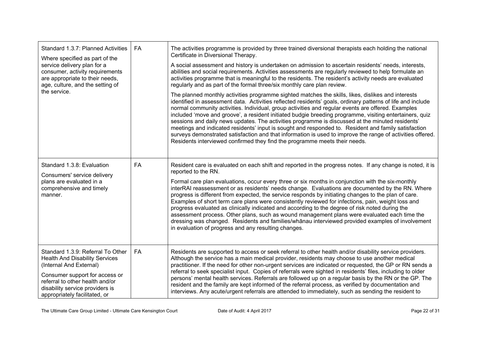| Standard 1.3.7: Planned Activities<br>Where specified as part of the<br>service delivery plan for a<br>consumer, activity requirements<br>are appropriate to their needs,<br>age, culture, and the setting of<br>the service.                  | FA        | The activities programme is provided by three trained diversional therapists each holding the national<br>Certificate in Diversional Therapy.<br>A social assessment and history is undertaken on admission to ascertain residents' needs, interests,<br>abilities and social requirements. Activities assessments are regularly reviewed to help formulate an<br>activities programme that is meaningful to the residents. The resident's activity needs are evaluated<br>regularly and as part of the formal three/six monthly care plan review.<br>The planned monthly activities programme sighted matches the skills, likes, dislikes and interests                                                                                                                                                                                                                                                                |
|------------------------------------------------------------------------------------------------------------------------------------------------------------------------------------------------------------------------------------------------|-----------|-------------------------------------------------------------------------------------------------------------------------------------------------------------------------------------------------------------------------------------------------------------------------------------------------------------------------------------------------------------------------------------------------------------------------------------------------------------------------------------------------------------------------------------------------------------------------------------------------------------------------------------------------------------------------------------------------------------------------------------------------------------------------------------------------------------------------------------------------------------------------------------------------------------------------|
|                                                                                                                                                                                                                                                |           | identified in assessment data. Activities reflected residents' goals, ordinary patterns of life and include<br>normal community activities. Individual, group activities and regular events are offered. Examples<br>included 'move and groove', a resident initiated budgie breeding programme, visiting entertainers, quiz<br>sessions and daily news updates. The activities programme is discussed at the minuted residents'<br>meetings and indicated residents' input is sought and responded to. Resident and family satisfaction<br>surveys demonstrated satisfaction and that information is used to improve the range of activities offered.<br>Residents interviewed confirmed they find the programme meets their needs.                                                                                                                                                                                    |
| Standard 1.3.8: Evaluation<br>Consumers' service delivery<br>plans are evaluated in a<br>comprehensive and timely<br>manner.                                                                                                                   | <b>FA</b> | Resident care is evaluated on each shift and reported in the progress notes. If any change is noted, it is<br>reported to the RN.<br>Formal care plan evaluations, occur every three or six months in conjunction with the six-monthly<br>interRAI reassessment or as residents' needs change. Evaluations are documented by the RN. Where<br>progress is different from expected, the service responds by initiating changes to the plan of care.<br>Examples of short term care plans were consistently reviewed for infections, pain, weight loss and<br>progress evaluated as clinically indicated and according to the degree of risk noted during the<br>assessment process. Other plans, such as wound management plans were evaluated each time the<br>dressing was changed. Residents and families/whānau interviewed provided examples of involvement<br>in evaluation of progress and any resulting changes. |
| Standard 1.3.9: Referral To Other<br><b>Health And Disability Services</b><br>(Internal And External)<br>Consumer support for access or<br>referral to other health and/or<br>disability service providers is<br>appropriately facilitated, or | <b>FA</b> | Residents are supported to access or seek referral to other health and/or disability service providers.<br>Although the service has a main medical provider, residents may choose to use another medical<br>practitioner. If the need for other non-urgent services are indicated or requested, the GP or RN sends a<br>referral to seek specialist input. Copies of referrals were sighted in residents' files, including to older<br>persons' mental health services. Referrals are followed up on a regular basis by the RN or the GP. The<br>resident and the family are kept informed of the referral process, as verified by documentation and<br>interviews. Any acute/urgent referrals are attended to immediately, such as sending the resident to                                                                                                                                                             |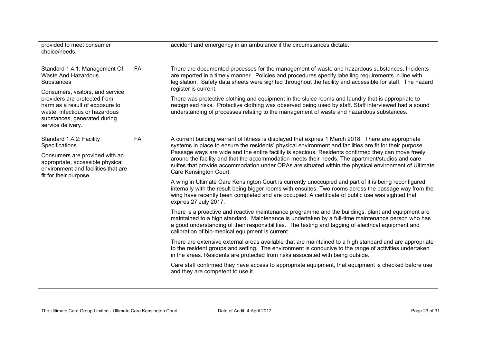| provided to meet consumer<br>choice/needs.                                                                                                                                                                                                                                     |           | accident and emergency in an ambulance if the circumstances dictate.                                                                                                                                                                                                                                                                                                                                                                                                                                                                                                                                                                                                                                                                                                                                                                                                                                                                                                                                                                                                                                                                                                                                                                                                                                                                                                                                                                                                                                                                                                                                                                                                                                                                      |
|--------------------------------------------------------------------------------------------------------------------------------------------------------------------------------------------------------------------------------------------------------------------------------|-----------|-------------------------------------------------------------------------------------------------------------------------------------------------------------------------------------------------------------------------------------------------------------------------------------------------------------------------------------------------------------------------------------------------------------------------------------------------------------------------------------------------------------------------------------------------------------------------------------------------------------------------------------------------------------------------------------------------------------------------------------------------------------------------------------------------------------------------------------------------------------------------------------------------------------------------------------------------------------------------------------------------------------------------------------------------------------------------------------------------------------------------------------------------------------------------------------------------------------------------------------------------------------------------------------------------------------------------------------------------------------------------------------------------------------------------------------------------------------------------------------------------------------------------------------------------------------------------------------------------------------------------------------------------------------------------------------------------------------------------------------------|
| Standard 1.4.1: Management Of<br><b>Waste And Hazardous</b><br><b>Substances</b><br>Consumers, visitors, and service<br>providers are protected from<br>harm as a result of exposure to<br>waste, infectious or hazardous<br>substances, generated during<br>service delivery. | <b>FA</b> | There are documented processes for the management of waste and hazardous substances. Incidents<br>are reported in a timely manner. Policies and procedures specify labelling requirements in line with<br>legislation. Safety data sheets were sighted throughout the facility and accessible for staff. The hazard<br>register is current.<br>There was protective clothing and equipment in the sluice rooms and laundry that is appropriate to<br>recognised risks. Protective clothing was observed being used by staff. Staff interviewed had a sound<br>understanding of processes relating to the management of waste and hazardous substances.                                                                                                                                                                                                                                                                                                                                                                                                                                                                                                                                                                                                                                                                                                                                                                                                                                                                                                                                                                                                                                                                                    |
| Standard 1.4.2: Facility<br>Specifications<br>Consumers are provided with an<br>appropriate, accessible physical<br>environment and facilities that are<br>fit for their purpose.                                                                                              | <b>FA</b> | A current building warrant of fitness is displayed that expires 1 March 2018. There are appropriate<br>systems in place to ensure the residents' physical environment and facilities are fit for their purpose.<br>Passage ways are wide and the entire facility is spacious. Residents confirmed they can move freely<br>around the facility and that the accommodation meets their needs. The apartment/studios and care<br>suites that provide accommodation under ORAs are situated within the physical environment of Ultimate<br>Care Kensington Court.<br>A wing in Ultimate Care Kensington Court is currently unoccupied and part of it is being reconfigured<br>internally with the result being bigger rooms with ensuites. Two rooms across the passage way from the<br>wing have recently been completed and are occupied. A certificate of public use was sighted that<br>expires 27 July 2017.<br>There is a proactive and reactive maintenance programme and the buildings, plant and equipment are<br>maintained to a high standard. Maintenance is undertaken by a full-time maintenance person who has<br>a good understanding of their responsibilities. The testing and tagging of electrical equipment and<br>calibration of bio-medical equipment is current.<br>There are extensive external areas available that are maintained to a high standard and are appropriate<br>to the resident groups and setting. The environment is conducive to the range of activities undertaken<br>in the areas. Residents are protected from risks associated with being outside.<br>Care staff confirmed they have access to appropriate equipment, that equipment is checked before use<br>and they are competent to use it. |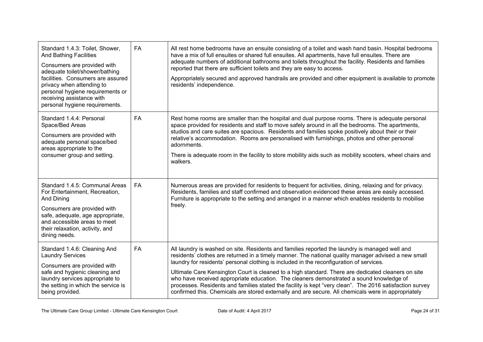| Standard 1.4.3: Toilet, Shower,<br><b>And Bathing Facilities</b><br>Consumers are provided with<br>adequate toilet/shower/bathing<br>facilities. Consumers are assured<br>privacy when attending to<br>personal hygiene requirements or<br>receiving assistance with<br>personal hygiene requirements. | FA        | All rest home bedrooms have an ensuite consisting of a toilet and wash hand basin. Hospital bedrooms<br>have a mix of full ensuites or shared full ensuites. All apartments, have full ensuites. There are<br>adequate numbers of additional bathrooms and toilets throughout the facility. Residents and families<br>reported that there are sufficient toilets and they are easy to access.<br>Appropriately secured and approved handrails are provided and other equipment is available to promote<br>residents' independence.                                                                                                                                                                                     |
|--------------------------------------------------------------------------------------------------------------------------------------------------------------------------------------------------------------------------------------------------------------------------------------------------------|-----------|------------------------------------------------------------------------------------------------------------------------------------------------------------------------------------------------------------------------------------------------------------------------------------------------------------------------------------------------------------------------------------------------------------------------------------------------------------------------------------------------------------------------------------------------------------------------------------------------------------------------------------------------------------------------------------------------------------------------|
| Standard 1.4.4: Personal<br>Space/Bed Areas<br>Consumers are provided with<br>adequate personal space/bed<br>areas appropriate to the<br>consumer group and setting.                                                                                                                                   | FA        | Rest home rooms are smaller than the hospital and dual purpose rooms. There is adequate personal<br>space provided for residents and staff to move safely around in all the bedrooms. The apartments,<br>studios and care suites are spacious. Residents and families spoke positively about their or their<br>relative's accommodation. Rooms are personalised with furnishings, photos and other personal<br>adornments.<br>There is adequate room in the facility to store mobility aids such as mobility scooters, wheel chairs and<br>walkers.                                                                                                                                                                    |
| Standard 1.4.5: Communal Areas<br>For Entertainment, Recreation,<br>And Dining<br>Consumers are provided with<br>safe, adequate, age appropriate,<br>and accessible areas to meet<br>their relaxation, activity, and<br>dining needs.                                                                  | <b>FA</b> | Numerous areas are provided for residents to frequent for activities, dining, relaxing and for privacy.<br>Residents, families and staff confirmed and observation evidenced these areas are easily accessed.<br>Furniture is appropriate to the setting and arranged in a manner which enables residents to mobilise<br>freely.                                                                                                                                                                                                                                                                                                                                                                                       |
| Standard 1.4.6: Cleaning And<br><b>Laundry Services</b><br>Consumers are provided with<br>safe and hygienic cleaning and<br>laundry services appropriate to<br>the setting in which the service is<br>being provided.                                                                                  | FA        | All laundry is washed on site. Residents and families reported the laundry is managed well and<br>residents' clothes are returned in a timely manner. The national quality manager advised a new small<br>laundry for residents' personal clothing is included in the reconfiguration of services.<br>Ultimate Care Kensington Court is cleaned to a high standard. There are dedicated cleaners on site<br>who have received appropriate education. The cleaners demonstrated a sound knowledge of<br>processes. Residents and families stated the facility is kept "very clean". The 2016 satisfaction survey<br>confirmed this. Chemicals are stored externally and are secure. All chemicals were in appropriately |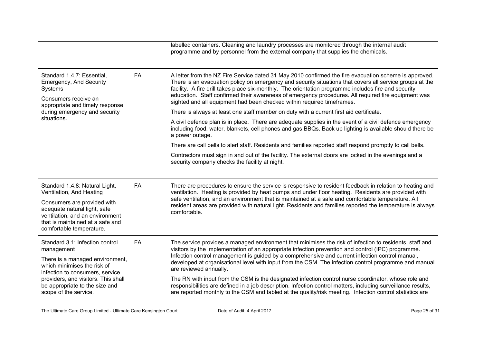|                                                                                                                                                                                                                                                      |           | labelled containers. Cleaning and laundry processes are monitored through the internal audit<br>programme and by personnel from the external company that supplies the chemicals.                                                                                                                                                                                                                                                                                                                                                                                                                                                                                                                                                                                                        |
|------------------------------------------------------------------------------------------------------------------------------------------------------------------------------------------------------------------------------------------------------|-----------|------------------------------------------------------------------------------------------------------------------------------------------------------------------------------------------------------------------------------------------------------------------------------------------------------------------------------------------------------------------------------------------------------------------------------------------------------------------------------------------------------------------------------------------------------------------------------------------------------------------------------------------------------------------------------------------------------------------------------------------------------------------------------------------|
| Standard 1.4.7: Essential,<br><b>Emergency, And Security</b><br>Systems<br>Consumers receive an<br>appropriate and timely response                                                                                                                   | <b>FA</b> | A letter from the NZ Fire Service dated 31 May 2010 confirmed the fire evacuation scheme is approved.<br>There is an evacuation policy on emergency and security situations that covers all service groups at the<br>facility. A fire drill takes place six-monthly. The orientation programme includes fire and security<br>education. Staff confirmed their awareness of emergency procedures. All required fire equipment was<br>sighted and all equipment had been checked within required timeframes.<br>There is always at least one staff member on duty with a current first aid certificate.                                                                                                                                                                                    |
| during emergency and security<br>situations.                                                                                                                                                                                                         |           | A civil defence plan is in place. There are adequate supplies in the event of a civil defence emergency<br>including food, water, blankets, cell phones and gas BBQs. Back up lighting is available should there be<br>a power outage.                                                                                                                                                                                                                                                                                                                                                                                                                                                                                                                                                   |
|                                                                                                                                                                                                                                                      |           | There are call bells to alert staff. Residents and families reported staff respond promptly to call bells.                                                                                                                                                                                                                                                                                                                                                                                                                                                                                                                                                                                                                                                                               |
|                                                                                                                                                                                                                                                      |           | Contractors must sign in and out of the facility. The external doors are locked in the evenings and a<br>security company checks the facility at night.                                                                                                                                                                                                                                                                                                                                                                                                                                                                                                                                                                                                                                  |
| Standard 1.4.8: Natural Light,<br>Ventilation, And Heating<br>Consumers are provided with<br>adequate natural light, safe<br>ventilation, and an environment<br>that is maintained at a safe and<br>comfortable temperature.                         | <b>FA</b> | There are procedures to ensure the service is responsive to resident feedback in relation to heating and<br>ventilation. Heating is provided by heat pumps and under floor heating. Residents are provided with<br>safe ventilation, and an environment that is maintained at a safe and comfortable temperature. All<br>resident areas are provided with natural light. Residents and families reported the temperature is always<br>comfortable.                                                                                                                                                                                                                                                                                                                                       |
| Standard 3.1: Infection control<br>management<br>There is a managed environment,<br>which minimises the risk of<br>infection to consumers, service<br>providers, and visitors. This shall<br>be appropriate to the size and<br>scope of the service. | <b>FA</b> | The service provides a managed environment that minimises the risk of infection to residents, staff and<br>visitors by the implementation of an appropriate infection prevention and control (IPC) programme.<br>Infection control management is guided by a comprehensive and current infection control manual,<br>developed at organisational level with input from the CSM. The infection control programme and manual<br>are reviewed annually.<br>The RN with input from the CSM is the designated infection control nurse coordinator, whose role and<br>responsibilities are defined in a job description. Infection control matters, including surveillance results,<br>are reported monthly to the CSM and tabled at the quality/risk meeting. Infection control statistics are |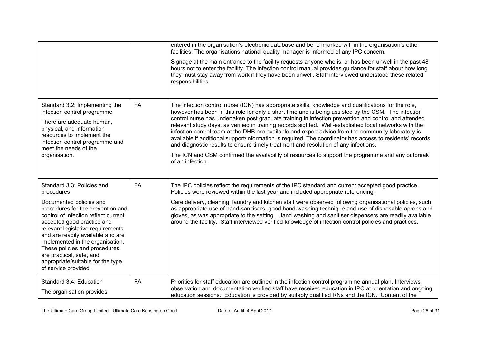|                                                                                                                                                                                                                                                                                                                                                                            |    | entered in the organisation's electronic database and benchmarked within the organisation's other<br>facilities. The organisations national quality manager is informed of any IPC concern.<br>Signage at the main entrance to the facility requests anyone who is, or has been unwell in the past 48<br>hours not to enter the facility. The infection control manual provides guidance for staff about how long<br>they must stay away from work if they have been unwell. Staff interviewed understood these related<br>responsibilities.                                                                                                                                                                                                                                                                                                                     |
|----------------------------------------------------------------------------------------------------------------------------------------------------------------------------------------------------------------------------------------------------------------------------------------------------------------------------------------------------------------------------|----|------------------------------------------------------------------------------------------------------------------------------------------------------------------------------------------------------------------------------------------------------------------------------------------------------------------------------------------------------------------------------------------------------------------------------------------------------------------------------------------------------------------------------------------------------------------------------------------------------------------------------------------------------------------------------------------------------------------------------------------------------------------------------------------------------------------------------------------------------------------|
| Standard 3.2: Implementing the<br>infection control programme<br>There are adequate human,<br>physical, and information<br>resources to implement the<br>infection control programme and<br>meet the needs of the<br>organisation.                                                                                                                                         | FA | The infection control nurse (ICN) has appropriate skills, knowledge and qualifications for the role,<br>however has been in this role for only a short time and is being assisted by the CSM. The infection<br>control nurse has undertaken post graduate training in infection prevention and control and attended<br>relevant study days, as verified in training records sighted. Well-established local networks with the<br>infection control team at the DHB are available and expert advice from the community laboratory is<br>available if additional support/information is required. The coordinator has access to residents' records<br>and diagnostic results to ensure timely treatment and resolution of any infections.<br>The ICN and CSM confirmed the availability of resources to support the programme and any outbreak<br>of an infection. |
| Standard 3.3: Policies and<br>procedures                                                                                                                                                                                                                                                                                                                                   | FA | The IPC policies reflect the requirements of the IPC standard and current accepted good practice.<br>Policies were reviewed within the last year and included appropriate referencing.                                                                                                                                                                                                                                                                                                                                                                                                                                                                                                                                                                                                                                                                           |
| Documented policies and<br>procedures for the prevention and<br>control of infection reflect current<br>accepted good practice and<br>relevant legislative requirements<br>and are readily available and are<br>implemented in the organisation.<br>These policies and procedures<br>are practical, safe, and<br>appropriate/suitable for the type<br>of service provided. |    | Care delivery, cleaning, laundry and kitchen staff were observed following organisational policies, such<br>as appropriate use of hand-sanitisers, good hand-washing technique and use of disposable aprons and<br>gloves, as was appropriate to the setting. Hand washing and sanitiser dispensers are readily available<br>around the facility. Staff interviewed verified knowledge of infection control policies and practices.                                                                                                                                                                                                                                                                                                                                                                                                                              |
| Standard 3.4: Education<br>The organisation provides                                                                                                                                                                                                                                                                                                                       | FA | Priorities for staff education are outlined in the infection control programme annual plan. Interviews,<br>observation and documentation verified staff have received education in IPC at orientation and ongoing<br>education sessions. Education is provided by suitably qualified RNs and the ICN. Content of the                                                                                                                                                                                                                                                                                                                                                                                                                                                                                                                                             |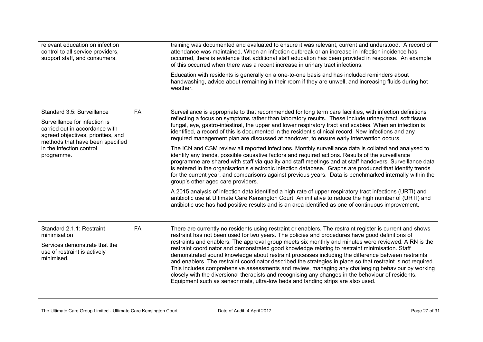| relevant education on infection<br>control to all service providers,<br>support staff, and consumers.                                                                                                             |           | training was documented and evaluated to ensure it was relevant, current and understood. A record of<br>attendance was maintained. When an infection outbreak or an increase in infection incidence has<br>occurred, there is evidence that additional staff education has been provided in response. An example<br>of this occurred when there was a recent increase in urinary tract infections.<br>Education with residents is generally on a one-to-one basis and has included reminders about<br>handwashing, advice about remaining in their room if they are unwell, and increasing fluids during hot<br>weather.                                                                                                                                                                                                                                                                                                                                                                                                                                                                                                                                                                                                                                                                                                                                                                                                                                   |
|-------------------------------------------------------------------------------------------------------------------------------------------------------------------------------------------------------------------|-----------|------------------------------------------------------------------------------------------------------------------------------------------------------------------------------------------------------------------------------------------------------------------------------------------------------------------------------------------------------------------------------------------------------------------------------------------------------------------------------------------------------------------------------------------------------------------------------------------------------------------------------------------------------------------------------------------------------------------------------------------------------------------------------------------------------------------------------------------------------------------------------------------------------------------------------------------------------------------------------------------------------------------------------------------------------------------------------------------------------------------------------------------------------------------------------------------------------------------------------------------------------------------------------------------------------------------------------------------------------------------------------------------------------------------------------------------------------------|
| Standard 3.5: Surveillance<br>Surveillance for infection is<br>carried out in accordance with<br>agreed objectives, priorities, and<br>methods that have been specified<br>in the infection control<br>programme. | <b>FA</b> | Surveillance is appropriate to that recommended for long term care facilities, with infection definitions<br>reflecting a focus on symptoms rather than laboratory results. These include urinary tract, soft tissue,<br>fungal, eye, gastro-intestinal, the upper and lower respiratory tract and scabies. When an infection is<br>identified, a record of this is documented in the resident's clinical record. New infections and any<br>required management plan are discussed at handover, to ensure early intervention occurs.<br>The ICN and CSM review all reported infections. Monthly surveillance data is collated and analysed to<br>identify any trends, possible causative factors and required actions. Results of the surveillance<br>programme are shared with staff via quality and staff meetings and at staff handovers. Surveillance data<br>is entered in the organisation's electronic infection database. Graphs are produced that identify trends<br>for the current year, and comparisons against previous years. Data is benchmarked internally within the<br>group's other aged care providers.<br>A 2015 analysis of infection data identified a high rate of upper respiratory tract infections (URTI) and<br>antibiotic use at Ultimate Care Kensington Court. An initiative to reduce the high number of (URTI) and<br>antibiotic use has had positive results and is an area identified as one of continuous improvement. |
| Standard 2.1.1: Restraint<br>minimisation<br>Services demonstrate that the<br>use of restraint is actively<br>minimised.                                                                                          | FA        | There are currently no residents using restraint or enablers. The restraint register is current and shows<br>restraint has not been used for two years. The policies and procedures have good definitions of<br>restraints and enablers. The approval group meets six monthly and minutes were reviewed. A RN is the<br>restraint coordinator and demonstrated good knowledge relating to restraint minimisation. Staff<br>demonstrated sound knowledge about restraint processes including the difference between restraints<br>and enablers. The restraint coordinator described the strategies in place so that restraint is not required.<br>This includes comprehensive assessments and review, managing any challenging behaviour by working<br>closely with the diversional therapists and recognising any changes in the behaviour of residents.<br>Equipment such as sensor mats, ultra-low beds and landing strips are also used.                                                                                                                                                                                                                                                                                                                                                                                                                                                                                                                |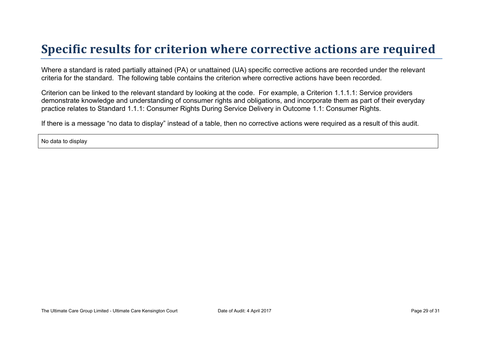## **Specific results for criterion where corrective actions are required**

Where a standard is rated partially attained (PA) or unattained (UA) specific corrective actions are recorded under the relevant criteria for the standard. The following table contains the criterion where corrective actions have been recorded.

Criterion can be linked to the relevant standard by looking at the code. For example, a Criterion 1.1.1.1: Service providers demonstrate knowledge and understanding of consumer rights and obligations, and incorporate them as part of their everyday practice relates to Standard 1.1.1: Consumer Rights During Service Delivery in Outcome 1.1: Consumer Rights.

If there is a message "no data to display" instead of a table, then no corrective actions were required as a result of this audit.

No data to display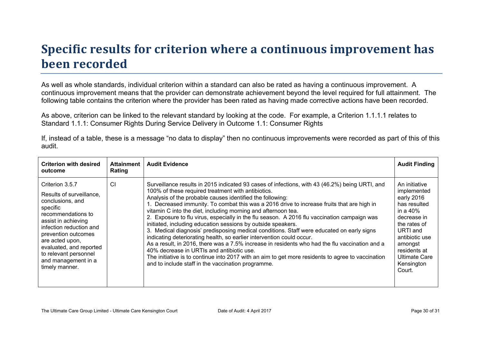# **Specific results for criterion where a continuous improvement has been recorded**

As well as whole standards, individual criterion within a standard can also be rated as having a continuous improvement. A continuous improvement means that the provider can demonstrate achievement beyond the level required for full attainment. The following table contains the criterion where the provider has been rated as having made corrective actions have been recorded.

As above, criterion can be linked to the relevant standard by looking at the code. For example, a Criterion 1.1.1.1 relates to Standard 1.1.1: Consumer Rights During Service Delivery in Outcome 1.1: Consumer Rights

If, instead of a table, these is a message "no data to display" then no continuous improvements were recorded as part of this of this audit.

| <b>Criterion with desired</b><br>outcome                                                                                                                                                                                                                                                   | Attainment<br>Rating | <b>Audit Evidence</b>                                                                                                                                                                                                                                                                                                                                                                                                                                                                                                                                                                                                                                                                                                                                                                                                                                                                                                                                                                                                           | <b>Audit Finding</b>                                                                                                                                                                                       |
|--------------------------------------------------------------------------------------------------------------------------------------------------------------------------------------------------------------------------------------------------------------------------------------------|----------------------|---------------------------------------------------------------------------------------------------------------------------------------------------------------------------------------------------------------------------------------------------------------------------------------------------------------------------------------------------------------------------------------------------------------------------------------------------------------------------------------------------------------------------------------------------------------------------------------------------------------------------------------------------------------------------------------------------------------------------------------------------------------------------------------------------------------------------------------------------------------------------------------------------------------------------------------------------------------------------------------------------------------------------------|------------------------------------------------------------------------------------------------------------------------------------------------------------------------------------------------------------|
| Criterion 3.5.7<br>Results of surveillance,<br>conclusions, and<br>specific<br>recommendations to<br>assist in achieving<br>infection reduction and<br>prevention outcomes<br>are acted upon,<br>evaluated, and reported<br>to relevant personnel<br>and management in a<br>timely manner. | CI                   | Surveillance results in 2015 indicated 93 cases of infections, with 43 (46.2%) being URTI, and<br>100% of these required treatment with antibiotics.<br>Analysis of the probable causes identified the following:<br>1. Decreased immunity. To combat this was a 2016 drive to increase fruits that are high in<br>vitamin C into the diet, including morning and afternoon tea.<br>2. Exposure to flu virus, especially in the flu season. A 2016 flu vaccination campaign was<br>initiated, including education sessions by outside speakers.<br>3. Medical diagnosis' predisposing medical conditions. Staff were educated on early signs<br>indicating deteriorating health, so earlier intervention could occur.<br>As a result, in 2016, there was a 7.5% increase in residents who had the flu vaccination and a<br>40% decrease in URTIs and antibiotic use.<br>The initiative is to continue into 2017 with an aim to get more residents to agree to vaccination<br>and to include staff in the vaccination programme. | An initiative<br>implemented<br>early 2016<br>has resulted<br>in a $40\%$<br>decrease in<br>the rates of<br>URTI and<br>antibiotic use<br>amongst<br>residents at<br>Ultimate Care<br>Kensington<br>Court. |